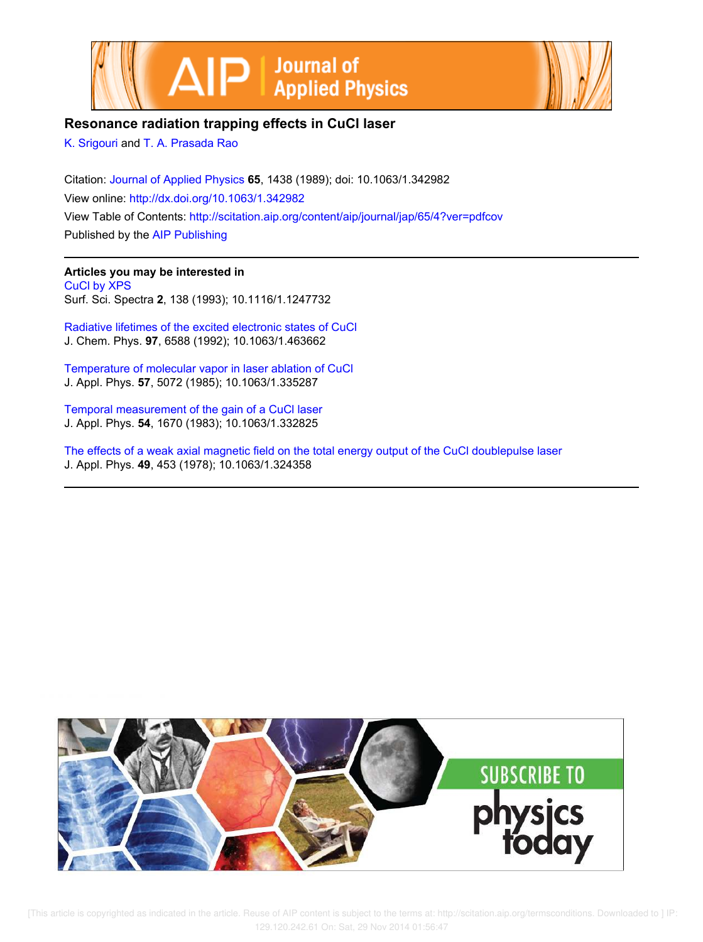



## **Resonance radiation trapping effects in CuCl laser**

K. Srigouri and T. A. Prasada Rao

Citation: Journal of Applied Physics **65**, 1438 (1989); doi: 10.1063/1.342982 View online: http://dx.doi.org/10.1063/1.342982 View Table of Contents: http://scitation.aip.org/content/aip/journal/jap/65/4?ver=pdfcov Published by the AIP Publishing

## **Articles you may be interested in**

CuCl by XPS Surf. Sci. Spectra **2**, 138 (1993); 10.1116/1.1247732

Radiative lifetimes of the excited electronic states of CuCl J. Chem. Phys. **97**, 6588 (1992); 10.1063/1.463662

Temperature of molecular vapor in laser ablation of CuCl J. Appl. Phys. **57**, 5072 (1985); 10.1063/1.335287

Temporal measurement of the gain of a CuCl laser J. Appl. Phys. **54**, 1670 (1983); 10.1063/1.332825

The effects of a weak axial magnetic field on the total energy output of the CuCl doublepulse laser J. Appl. Phys. **49**, 453 (1978); 10.1063/1.324358



 [This article is copyrighted as indicated in the article. Reuse of AIP content is subject to the terms at: http://scitation.aip.org/termsconditions. Downloaded to ] IP: 129.120.242.61 On: Sat, 29 Nov 2014 01:56:47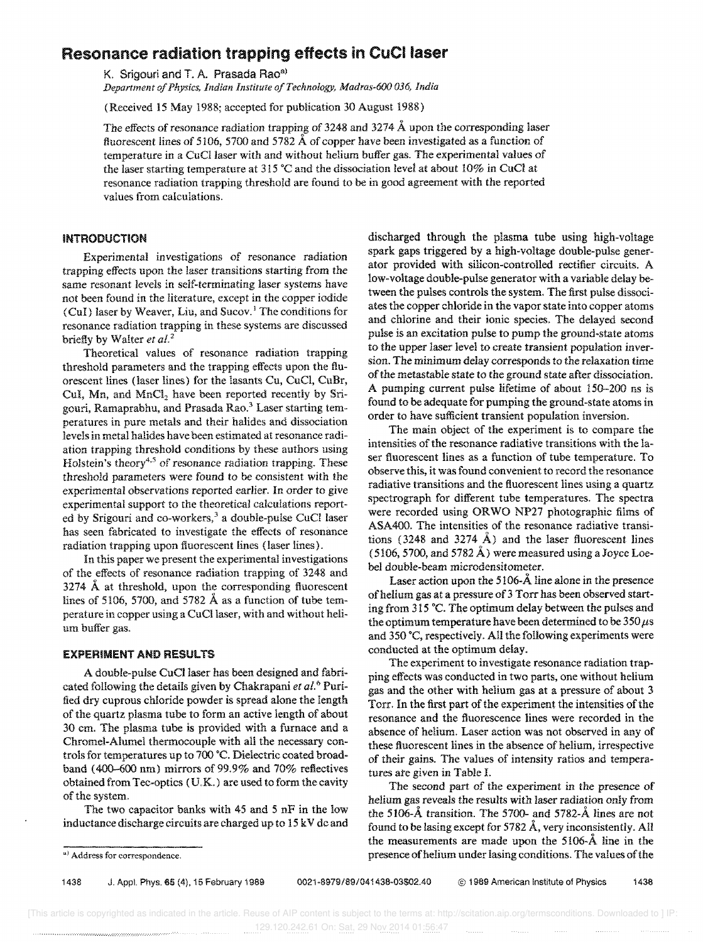# Resonance radiation trapping effects in CuCllaser

K. Srigouri and T. A. Prasada Rao<sup>a)</sup>

*Department of Physics, Indian Insiitute of Technology, Madras-600 036, India* 

(Received 15 May 1988; accepted for publication 30 August 1988)

The effects of resonance radiation trapping of 3248 and 3274  $\AA$  upon the corresponding laser fluorescent lines of 5106, 5700 and 5782  $\AA$  of copper have been investigated as a function of temperature in a CuCllaser with and without helium buffer gas. The experimental values of the laser starting temperature at 315 °C and the dissociation level at about 10% in CuCl at resonance radiation trapping threshold are found to be in good agreement with the reported values from calculations.

### **INTRODUCTION**

Experimental investigations of resonance radiation trapping effects upon the laser transitions starting from the same resonant levels in self-terminating laser systems have not been found in the literature, except in the copper iodide (CuI) laser by Weaver, Liu, and Sucov.<sup>1</sup> The conditions for resonance radiation trapping in these systems are discussed briefly by Walter et al.<sup>2</sup>

Theoretical values of resonance radiation trapping threshold parameters and the trapping effects upon the fluorescent lines (laser lines) for the lasants Cu, CuCI, CuBr, CuI, Mn, and  $MnCl<sub>2</sub>$  have been reported recently by Srigouri, Ramaprabhu, and Prasada Rao.<sup>3</sup> Laser starting temperatures in pure metals and their halides and dissociation levels in metal halides have been estimated at resonance radiation trapping threshold conditions by these authors using Holstein's theory<sup>4,5</sup> of resonance radiation trapping. These threshold parameters were found to be consistent with the experimental observations reported earlier. In order to give experimental support to the theoretical calculations reported by Srigouri and co-workers,<sup>3</sup> a double-pulse CuCl laser has seen fabricated to investigate the effects of resonance radiation trapping upon fluorescent lines (laser lines).

In this paper we present the experimental investigations of the effects of resonance radiation trapping of 3248 and 3274  $\AA$  at threshold, upon the corresponding fluorescent lines of 5106, 5700, and 5782  $\AA$  as a function of tube temperature in copper using a CuCllaser, with and without helium buffer gas.

#### EXPERIMENT AND RESULTS

A double-pulse CuCl laser has been designed and fabricated following the details given by Chakrapani *et al.o* Purified dry cuprous chloride powder is spread alone the length of the quartz plasma tube to form an active length of about 30 cm. The plasma tube is provided with a furnace and a Chromel-Alumel thermocouple with all the necessary controls for temperatures up to 700 "C. Dielectric coated broadband (400-600 nm) mirrors of 99.9% and 70% reflectives obtained from Tee-optics (UK.) are used to form the cavity of the system.

The two capacitor banks with 45 and 5 nF in the low inductance discharge circuits are charged up to 15 k V dc and discharged through the plasma tube using high-voltage spark gaps triggered by a high-voltage double-pulse generator provided with silicon-controlled rectifier circuits. A low-voltage double-pulse generator with a variable delay between the pulses controls the system. The first pulse dissociates the copper chloride in the vapor state into copper atoms and chlorine and their ionic species. The delayed second pulse is an excitation pulse to pump the ground-state atoms to the upper laser level to create transient population inversion. The minimum delay corresponds to the relaxation time of the metastable state to the ground state after dissociation. A pumping current pulse lifetime of about 150-200 ns is found to be adequate for pumping the ground-state atoms in order to have sufficient transient population inversion.

The main object of the experiment is to compare the intensities of the resonance radiative transitions with the laser fluorescent lines as a function of tube temperature. To observe this, it was found convenient to record the resonance radiative transitions and the fluorescent lines using a quartz spectrograph for different tube temperatures. The spectra were recorded using OR WO NP27 photographic films of ASA400. The intensities of the resonance radiative transitions (3248 and 3274  $\AA$ ) and the laser fluorescent lines (5106, 5700, and 5782 Å) were measured using a Joyce Loebel double-beam microdensitometer.

Laser action upon the 5106- $\AA$  line alone in the presence of helium gas at a pressure of 3 Torr has been observed starting from 315°C. The optimum delay between the pulses and the optimum temperature have been determined to be  $350 \,\mu s$ and 350 ·C, respectively. All the following experiments were conducted at the optimum delay.

The experiment to investigate resonance radiation trapping effects was conducted in two parts, one without helium gas and the other with helium gas at a pressure of about 3 Torr. In the first part of the experiment the intensities of the resonance and the fluorescence lines were recorded in the absence of helium. Laser action was not observed in any of these fluorescent lines in the absence of helium, irrespective of their gains. The values of intensity ratios and temperatures ate given in Table 1.

The second part of the experiment in the presence of helium gas reveals the results with laser radiation only from the 5106-A transition. The 5700- and 5782-A lines are not found to be lasing except for 5782 A, very inconsistently. All the measurements are made upon the 5106-A line in the presence of helium under lasing conditions. The values of the

a) Address for correspondence.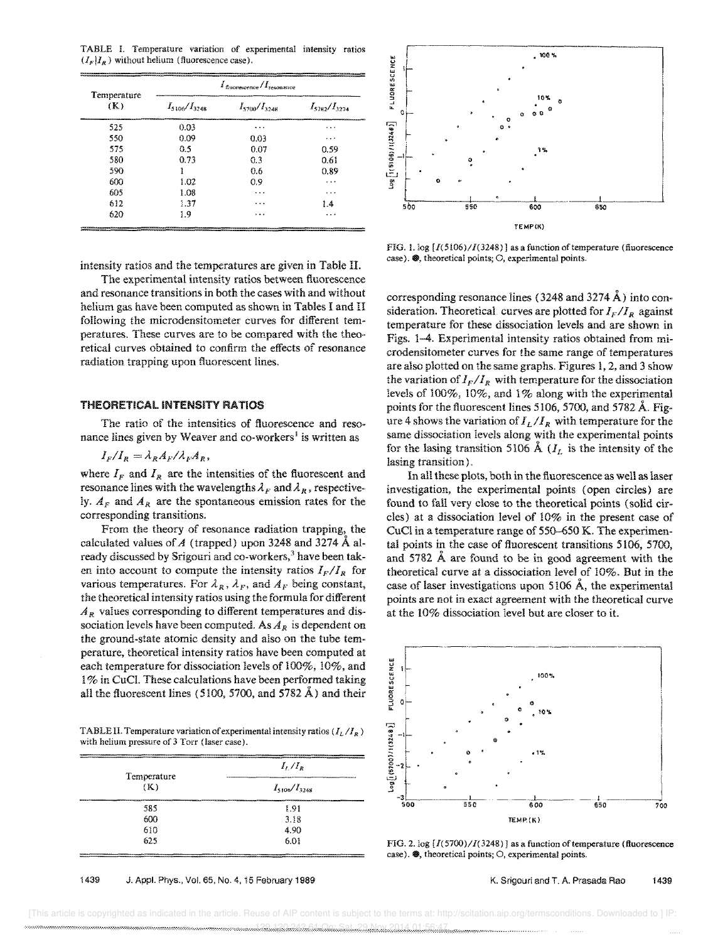TABLE I. Temperature variation of experimental intensity ratios  $(I_F|I_R)$  without helium (fluorescence case).

| Temperature<br>(K) | <u> 2008 - Liza de Bondardo de Alemania (1908), este alemania de la constitución de la constitución de la constitución de la constitución de la constitución de la constitución de la constitución de la constitución de la cons</u><br>$I_{\text{gucweecence}}/I_{\text{resonance}}$ |                     |                     |
|--------------------|---------------------------------------------------------------------------------------------------------------------------------------------------------------------------------------------------------------------------------------------------------------------------------------|---------------------|---------------------|
|                    | $I_{5106}/I_{3248}$                                                                                                                                                                                                                                                                   | $I_{5700}/I_{3248}$ | $I_{3782}/I_{3274}$ |
| 525                | 0.03                                                                                                                                                                                                                                                                                  | $\cdots$            |                     |
| 550                | 0.09                                                                                                                                                                                                                                                                                  | 0.03                | $\cdots$            |
| 575                | 0.5                                                                                                                                                                                                                                                                                   | 0.07                | 0.59                |
| 580                | 0.73                                                                                                                                                                                                                                                                                  | 0.3                 | 0.61                |
| 590                |                                                                                                                                                                                                                                                                                       | 0.6                 | 0.89                |
| 600                | 1.02                                                                                                                                                                                                                                                                                  | 0.9                 |                     |
| 605                | 1.08                                                                                                                                                                                                                                                                                  | .                   | $\cdots$            |
| 612                | 1.37                                                                                                                                                                                                                                                                                  |                     | 14                  |
| 620                | 1.9                                                                                                                                                                                                                                                                                   | $\cdot$             | .                   |



FIG. l. log *[1(5106)/1(3248)* I as a function of temperature (fluorescence  $case$ ).  $\circledast$ , theoretical points; O, experimental points.

intensity ratios and the temperatures are given in Table II. The experimental intensity ratios between fluorescence and resonance transitions in both the cases with and without

helium gas have been computed as shown in Tables I and II following the microdensitometer curves for different temperatures. These curves are to be compared with the theoretical curves obtained to confirm the effects of resonance radiation trapping upon fluorescent lines.

#### **THEORETICAL INTENSITY RATIOS**

The ratio of the intensities of fluorescence and resonance lines given by Weaver and co-workers<sup>1</sup> is written as

$$
I_F/I_R = \lambda_R A_F/\lambda_F A_R,
$$

where  $I_F$  and  $I_R$  are the intensities of the fluorescent and resonance lines with the wavelengths  $\lambda_F$  and  $\lambda_R$ , respectively.  $A_F$  and  $A_R$  are the spontaneous emission rates for the corresponding transitions.

From the theory of resonance radiation trapping, the calculated values of A (trapped) upon 3248 and 3274  $\AA$  already discussed by Srigouri and co-workers,<sup>3</sup> have been taken into account to compute the intensity ratios  $I_F/I_R$  for various temperatures. For  $\lambda_R$ ,  $\lambda_F$ , and  $A_F$  being constant, the theoretical intensity ratios using the formula for different  $A_R$  values corresponding to different temperatures and dissociation levels have been computed. As *AR* is dependent on the ground-state atomic density and also on the tube temperature, theoretical intensity ratios have been computed at each temperature for dissociation levels of 100%, 10%, and 1% in CuCl. These calculations have been performed taking all the fluorescent lines (5100, 5700, and 5782  $\AA$ ) and their

TABLE II. Temperature variation of experimental intensity ratios ( $I_L/I_R$ ) with helium pressure of 3 Torr (laser case).

| www.communication.com/2010/07/2020/08/09/09/2020 00:00 00:00 00:00 00:00 00:00 00:00 00:00 00:00 00:00 00:00 00:00 00:00 00:00 00:00 00:00 00:00 00:00 00:00 00:00 00:00 00:00 00:00 00:00 00:00 00:00 00:00 00:00 00:00 00:00<br>Temperature | $I_{L}/I_{R}$                                                                                                              |  |
|-----------------------------------------------------------------------------------------------------------------------------------------------------------------------------------------------------------------------------------------------|----------------------------------------------------------------------------------------------------------------------------|--|
| (K)                                                                                                                                                                                                                                           | $I_{5106}/I_{3248}$                                                                                                        |  |
| . <del>.</del><br>585                                                                                                                                                                                                                         | the common the common the common of the common the common of the common of the common of the common and the common<br>1.91 |  |
| 600                                                                                                                                                                                                                                           | 3.18                                                                                                                       |  |
| 610                                                                                                                                                                                                                                           | 4.90                                                                                                                       |  |
| 625<br>________                                                                                                                                                                                                                               | 6.01                                                                                                                       |  |

#### 1439 J. Appl. Phys., Vol. 65, No.4, 15 February 1989

corresponding resonance lines (3248 and 3274 A) into consideration. Theoretical curves are plotted for  $I_F/I_R$  against temperature for these dissociation levels and are shown in Figs. 1-4. Experimental intensity ratios obtained from microdensitometer curves for the same range of temperatures are also plotted on the same graphs. Figures 1, 2, and 3 show the variation of  $I_F/I_R$  with temperature for the dissociation levels of 100%, 10%, and 1% along with the experimental points for the fluorescent lines 5106, 5700, and 5782 A. Figure 4 shows the variation of  $I_L/I_R$  with temperature for the same dissociation levels along with the experimental points for the lasing transition 5106 Å ( $I_L$  is the intensity of the lasing transition).

In all these plots, both in the fluorescence as well as laser investigation, the experimental points (open circles) are found to fall very close to the theoretical points (solid circles) at a dissociation level of 10% in the present case of CuCl in a temperature range of 550-650 K. The experimental points in the case of fluorescent transitions 5106, 5700, and 5782 A are found to be in good agreement with the theoretical curve at a dissociation level of 10%. But in the case of laser investigations upon 5106 A, the experimental points are not in exact agreement with the theoretical curve at the 10% dissociation level but are closer to it.



FIG. 2. log  $[I(5700)/I(3248)]$  as a function of temperature (fluorescence  $case$ ).  $\circledast$ , theoretical points;  $\circ$ , experimental points.

#### K. Srigouri and T. A. Prasada Rao 1439

 [This article is copyrighted as indicated in the article. Reuse of AIP content is subject to the terms at: http://scitation.aip.org/termsconditions. Downloaded to ] IP: 129.120.242.61 On: Sat, 29 Nov 2014 01:56:47